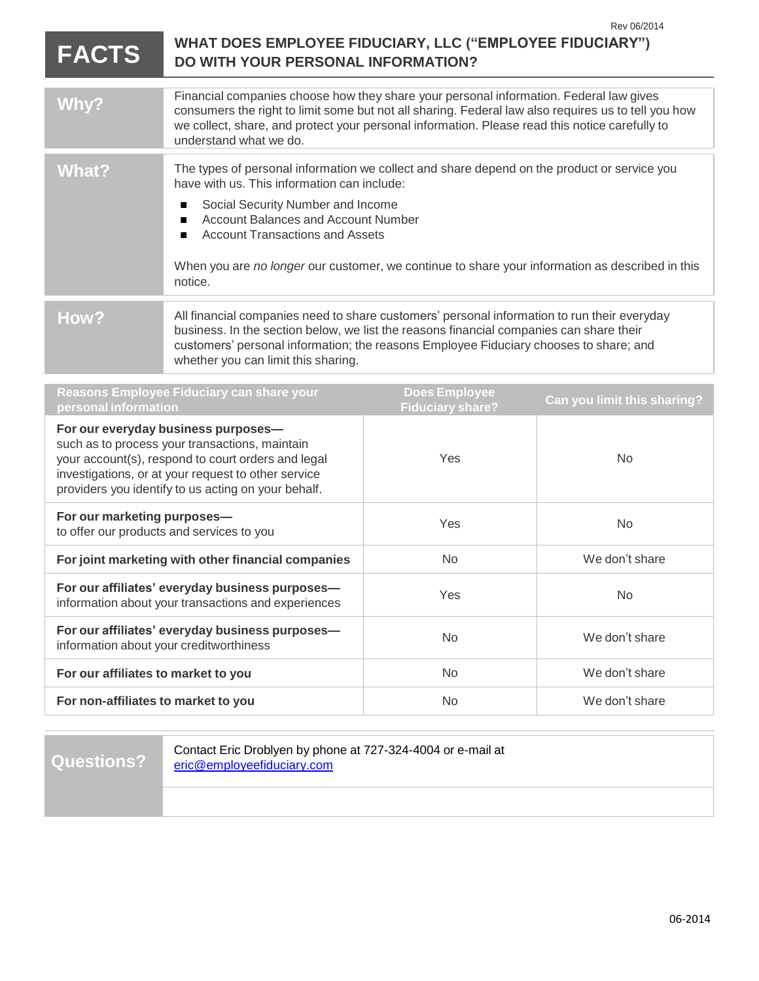| <b>FACTS</b> | Rev 06/2014<br>WHAT DOES EMPLOYEE FIDUCIARY, LLC ("EMPLOYEE FIDUCIARY")<br>DO WITH YOUR PERSONAL INFORMATION?                                                                                                                                                                                                                                                                                        |  |
|--------------|------------------------------------------------------------------------------------------------------------------------------------------------------------------------------------------------------------------------------------------------------------------------------------------------------------------------------------------------------------------------------------------------------|--|
| Why?         | Financial companies choose how they share your personal information. Federal law gives<br>consumers the right to limit some but not all sharing. Federal law also requires us to tell you how<br>we collect, share, and protect your personal information. Please read this notice carefully to<br>understand what we do.                                                                            |  |
| What?        | The types of personal information we collect and share depend on the product or service you<br>have with us. This information can include:<br>Social Security Number and Income<br>п<br><b>Account Balances and Account Number</b><br>п<br><b>Account Transactions and Assets</b><br>п<br>When you are no longer our customer, we continue to share your information as described in this<br>notice. |  |
| How?         | All financial companies need to share customers' personal information to run their everyday<br>business. In the section below, we list the reasons financial companies can share their<br>customers' personal information; the reasons Employee Fiduciary chooses to share; and<br>whether you can limit this sharing.                                                                               |  |
|              | <b>Reasons Employee Fiduciary can share your</b><br><b>Does Employee</b><br>Can vou limit this sharing?                                                                                                                                                                                                                                                                                              |  |

| $\alpha$ . The contractor of $\alpha$ is the contractor of $\alpha$<br>personal information                                                                                                                                                               | <b>DOGS</b> FIIIMATE<br><b>Fiduciary share?</b> | Can you limit this sharing? |
|-----------------------------------------------------------------------------------------------------------------------------------------------------------------------------------------------------------------------------------------------------------|-------------------------------------------------|-----------------------------|
| For our everyday business purposes-<br>such as to process your transactions, maintain<br>your account(s), respond to court orders and legal<br>investigations, or at your request to other service<br>providers you identify to us acting on your behalf. | Yes                                             | N <sub>o</sub>              |
| For our marketing purposes-<br>to offer our products and services to you                                                                                                                                                                                  | Yes                                             | N <sub>o</sub>              |
| For joint marketing with other financial companies                                                                                                                                                                                                        | No.                                             | We don't share              |
| For our affiliates' everyday business purposes-<br>information about your transactions and experiences                                                                                                                                                    | Yes                                             | N <sub>o</sub>              |
| For our affiliates' everyday business purposes-<br>information about your creditworthiness                                                                                                                                                                | No.                                             | We don't share              |
| For our affiliates to market to you                                                                                                                                                                                                                       | <b>No</b>                                       | We don't share              |
| For non-affiliates to market to you                                                                                                                                                                                                                       | No.                                             | We don't share              |
|                                                                                                                                                                                                                                                           |                                                 |                             |

**Questions?**

Contact Eric Droblyen by phone at 727-324-4004 or e-mail at [eric@employeefiduciary.com](mailto:eric@employeefiduciary.com)